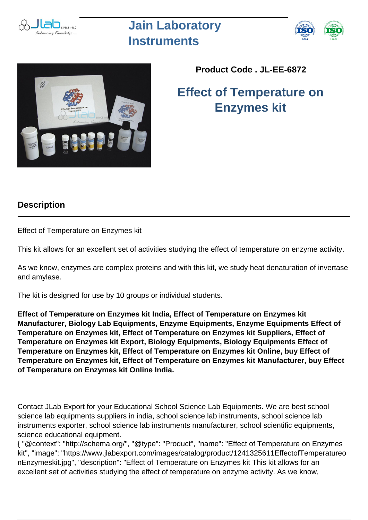

## **Jain Laboratory Instruments**





## **Product Code . JL-EE-6872**

**Effect of Temperature on Enzymes kit**

## **Description**

Effect of Temperature on Enzymes kit

This kit allows for an excellent set of activities studying the effect of temperature on enzyme activity.

As we know, enzymes are complex proteins and with this kit, we study heat denaturation of invertase and amylase.

The kit is designed for use by 10 groups or individual students.

**Effect of Temperature on Enzymes kit India, Effect of Temperature on Enzymes kit Manufacturer, Biology Lab Equipments, Enzyme Equipments, Enzyme Equipments Effect of Temperature on Enzymes kit, Effect of Temperature on Enzymes kit Suppliers, Effect of Temperature on Enzymes kit Export, Biology Equipments, Biology Equipments Effect of Temperature on Enzymes kit, Effect of Temperature on Enzymes kit Online, buy Effect of Temperature on Enzymes kit, Effect of Temperature on Enzymes kit Manufacturer, buy Effect of Temperature on Enzymes kit Online India.**

Contact JLab Export for your Educational School Science Lab Equipments. We are best school science lab equipments suppliers in india, school science lab instruments, school science lab instruments exporter, school science lab instruments manufacturer, school scientific equipments, science educational equipment.

{ "@context": "http://schema.org/", "@type": "Product", "name": "Effect of Temperature on Enzymes kit", "image": "https://www.jlabexport.com/images/catalog/product/1241325611EffectofTemperatureo nEnzymeskit.jpg", "description": "Effect of Temperature on Enzymes kit This kit allows for an excellent set of activities studying the effect of temperature on enzyme activity. As we know,